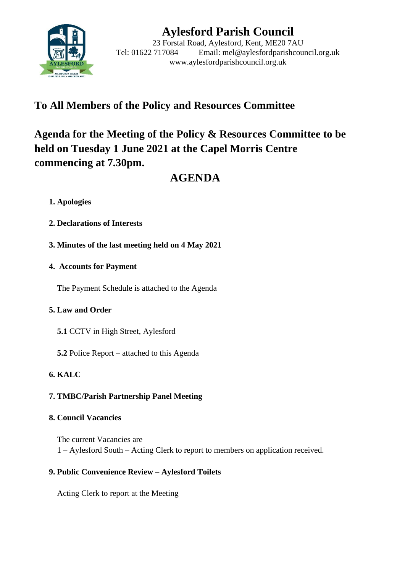

# **Aylesford Parish Council**

23 Forstal Road, Aylesford, Kent, ME20 7AU Tel: 01622 717084 Email: mel@aylesfordparishcouncil.org.uk www.aylesfordparishcouncil.org.uk

## **To All Members of the Policy and Resources Committee**

# **Agenda for the Meeting of the Policy & Resources Committee to be held on Tuesday 1 June 2021 at the Capel Morris Centre commencing at 7.30pm.**

# **AGENDA**

## **1. Apologies**

- **2. Declarations of Interests**
- **3. Minutes of the last meeting held on 4 May 2021**

## **4. Accounts for Payment**

The Payment Schedule is attached to the Agenda

## **5. Law and Order**

- **5.1** CCTV in High Street, Aylesford
- **5.2** Police Report attached to this Agenda

## **6. KALC**

## **7. TMBC/Parish Partnership Panel Meeting**

## **8. Council Vacancies**

The current Vacancies are 1 – Aylesford South – Acting Clerk to report to members on application received.

## **9. Public Convenience Review – Aylesford Toilets**

Acting Clerk to report at the Meeting